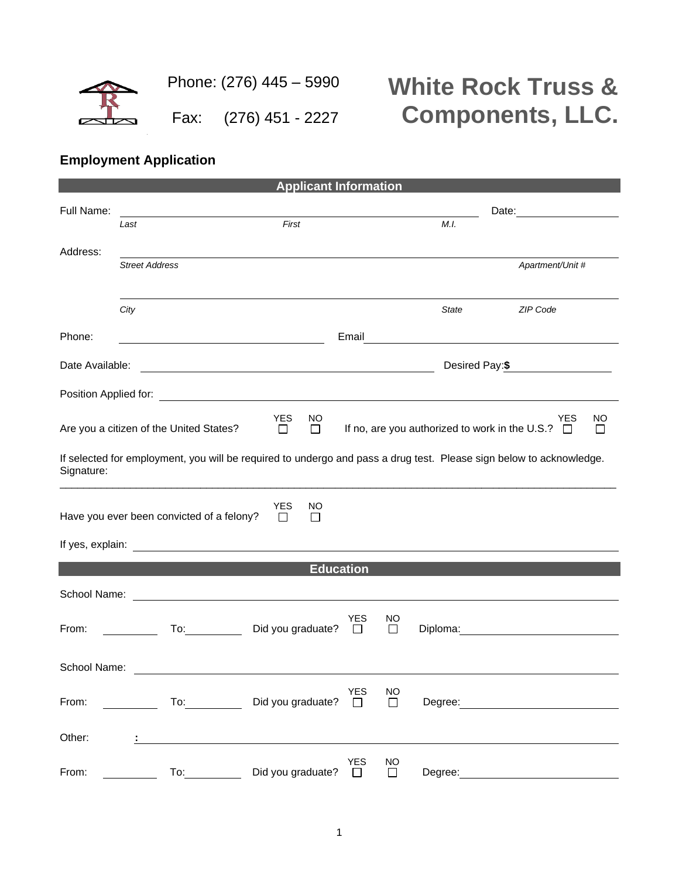

## **White Rock Truss & Components, LLC.**

## **Employment Application**

| <b>Applicant Information</b> |                                                                                                                                                                                                                                |                                                                                                                     |                      |                     |         |                                                                                     |  |  |
|------------------------------|--------------------------------------------------------------------------------------------------------------------------------------------------------------------------------------------------------------------------------|---------------------------------------------------------------------------------------------------------------------|----------------------|---------------------|---------|-------------------------------------------------------------------------------------|--|--|
| Full Name:                   |                                                                                                                                                                                                                                |                                                                                                                     |                      |                     |         |                                                                                     |  |  |
|                              | Last                                                                                                                                                                                                                           | First                                                                                                               |                      |                     | M.I.    |                                                                                     |  |  |
| Address:                     |                                                                                                                                                                                                                                |                                                                                                                     |                      |                     |         |                                                                                     |  |  |
|                              | <b>Street Address</b>                                                                                                                                                                                                          |                                                                                                                     |                      |                     |         | Apartment/Unit #                                                                    |  |  |
|                              |                                                                                                                                                                                                                                |                                                                                                                     |                      |                     |         | ZIP Code                                                                            |  |  |
|                              | City                                                                                                                                                                                                                           |                                                                                                                     |                      |                     | State   |                                                                                     |  |  |
| Phone:                       |                                                                                                                                                                                                                                |                                                                                                                     |                      |                     |         | Email <u>_________________________________</u>                                      |  |  |
| Date Available:              |                                                                                                                                                                                                                                | <u> 1989 - Johann Barn, fransk politik formuler (d. 1989)</u>                                                       |                      | Desired Pay:\$      |         |                                                                                     |  |  |
|                              |                                                                                                                                                                                                                                |                                                                                                                     |                      |                     |         |                                                                                     |  |  |
|                              | Are you a citizen of the United States?                                                                                                                                                                                        | <b>YES</b><br>NO.<br>$\Box$<br>$\Box$                                                                               |                      |                     |         | <b>YES</b><br>NO<br>If no, are you authorized to work in the U.S.? $\Box$<br>$\Box$ |  |  |
| Signature:                   |                                                                                                                                                                                                                                | If selected for employment, you will be required to undergo and pass a drug test. Please sign below to acknowledge. |                      |                     |         |                                                                                     |  |  |
|                              | Have you ever been convicted of a felony?                                                                                                                                                                                      | <b>YES</b><br>NO<br>$\Box$<br>$\Box$                                                                                |                      |                     |         |                                                                                     |  |  |
|                              |                                                                                                                                                                                                                                |                                                                                                                     |                      |                     |         |                                                                                     |  |  |
|                              |                                                                                                                                                                                                                                | <b>Education</b>                                                                                                    |                      |                     |         |                                                                                     |  |  |
| School Name:                 |                                                                                                                                                                                                                                | <u> 1980 - Andrea Station Barbara, amerikan personal (h. 1980).</u>                                                 |                      |                     |         |                                                                                     |  |  |
| From:                        | To: the contract of the contract of the contract of the contract of the contract of the contract of the contract of the contract of the contract of the contract of the contract of the contract of the contract of the contra | Did you graduate?                                                                                                   | <b>YES</b><br>$\Box$ | NO.<br>$\Box$       |         |                                                                                     |  |  |
| School Name:                 |                                                                                                                                                                                                                                |                                                                                                                     |                      |                     |         |                                                                                     |  |  |
| From:                        | To: and the state of the state of the state of the state of the state of the state of the state of the state o                                                                                                                 | Did you graduate? $\square$                                                                                         | <b>YES</b>           | NO<br>$\Box$        |         |                                                                                     |  |  |
| Other:                       |                                                                                                                                                                                                                                |                                                                                                                     |                      |                     |         |                                                                                     |  |  |
| From:                        | To:                                                                                                                                                                                                                            | Did you graduate? $\square$                                                                                         | <b>YES</b>           | <b>NO</b><br>$\Box$ | Degree: |                                                                                     |  |  |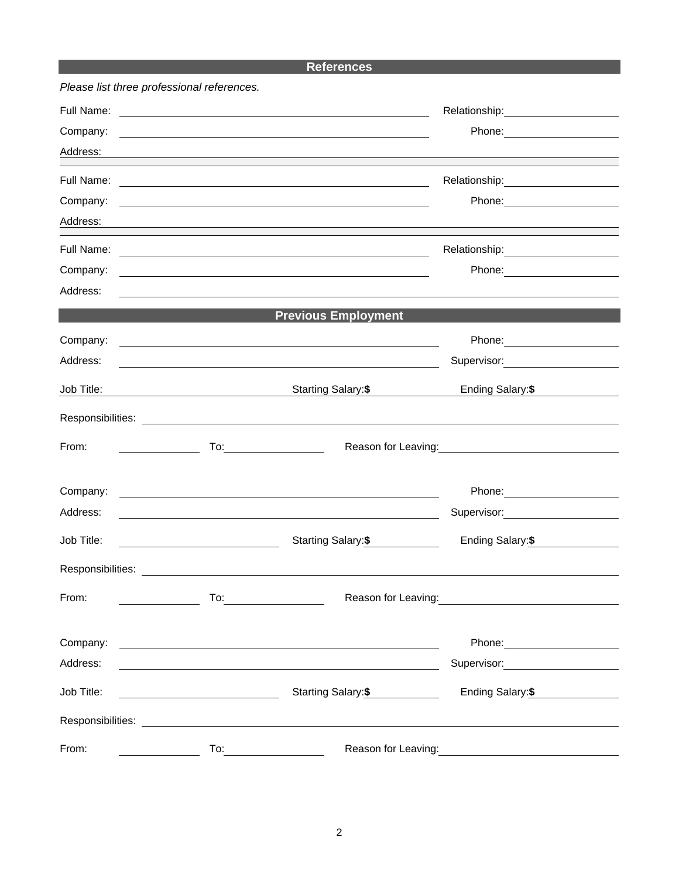## **References**

|                   | Please list three professional references. |                                                                                                                        |                                                                                                               |  |  |
|-------------------|--------------------------------------------|------------------------------------------------------------------------------------------------------------------------|---------------------------------------------------------------------------------------------------------------|--|--|
|                   |                                            |                                                                                                                        |                                                                                                               |  |  |
| Company:          |                                            |                                                                                                                        |                                                                                                               |  |  |
| Address:          |                                            |                                                                                                                        | ,我们也不会有什么。""我们的人,我们也不会有什么?""我们的人,我们也不会有什么?""我们的人,我们也不会有什么?""我们的人,我们也不会有什么?""我们的人                              |  |  |
| Full Name:        |                                            | <u> 1980 - Johann Barn, fransk politik amerikansk politik (d. 1980)</u>                                                |                                                                                                               |  |  |
| Company:          |                                            | <u> 1980 - Johann Stoff, deutscher Stoff, der Stoff, der Stoff, der Stoff, der Stoff, der Stoff, der Stoff, der S</u>  |                                                                                                               |  |  |
| Address:          |                                            |                                                                                                                        |                                                                                                               |  |  |
| Full Name:        |                                            | <u> 1989 - Johann Barn, fransk politik (d. 1989)</u>                                                                   |                                                                                                               |  |  |
| Company:          |                                            | and the control of the control of the control of the control of the control of the control of the control of the       | Phone: 2008 2010 2010 2010 2010 2021 2022 2023 2024 2022 2023 2024 2022 2023 2024 2025 2026 2027 2028 2021 20 |  |  |
| Address:          |                                            |                                                                                                                        |                                                                                                               |  |  |
|                   |                                            | <b>Previous Employment</b>                                                                                             |                                                                                                               |  |  |
| Company:          |                                            | and the control of the control of the control of the control of the control of the control of the control of the       | Phone: 2008 2010 2010 2010 2010 2021 2022 2023 2024 2022 2023 2024 2022 2023 2024 2025 2026 2027 2028 2021 20 |  |  |
| Address:          |                                            |                                                                                                                        | Supervisor: Victor Communication Communication                                                                |  |  |
| Job Title:        |                                            | Starting Salary:\$                                                                                                     | Ending Salary: \$                                                                                             |  |  |
|                   |                                            |                                                                                                                        |                                                                                                               |  |  |
| From:             |                                            |                                                                                                                        |                                                                                                               |  |  |
| Company:          |                                            |                                                                                                                        |                                                                                                               |  |  |
| Address:          |                                            | <u> 1989 - Johann Stoff, deutscher Stoffen und der Stoffen und der Stoffen und der Stoffen und der Stoffen und der</u> | Supervisor: 2000                                                                                              |  |  |
|                   |                                            |                                                                                                                        |                                                                                                               |  |  |
| Job Title:        |                                            | Starting Salary: \$                                                                                                    | Ending Salary:\$                                                                                              |  |  |
| Responsibilities: |                                            |                                                                                                                        |                                                                                                               |  |  |
| From:             |                                            |                                                                                                                        | Reason for Leaving:<br><u>Next and the substantial property</u>                                               |  |  |
|                   |                                            |                                                                                                                        |                                                                                                               |  |  |
| Company:          |                                            | <u> 1989 - Johann Barn, fransk politik amerikansk politik (</u>                                                        | Phone: 2008                                                                                                   |  |  |
| Address:          |                                            |                                                                                                                        |                                                                                                               |  |  |
| Job Title:        |                                            | Starting Salary: \$                                                                                                    | Ending Salary: \$                                                                                             |  |  |
|                   |                                            |                                                                                                                        |                                                                                                               |  |  |
| From:             |                                            | To: _________________________                                                                                          | Reason for Leaving:                                                                                           |  |  |